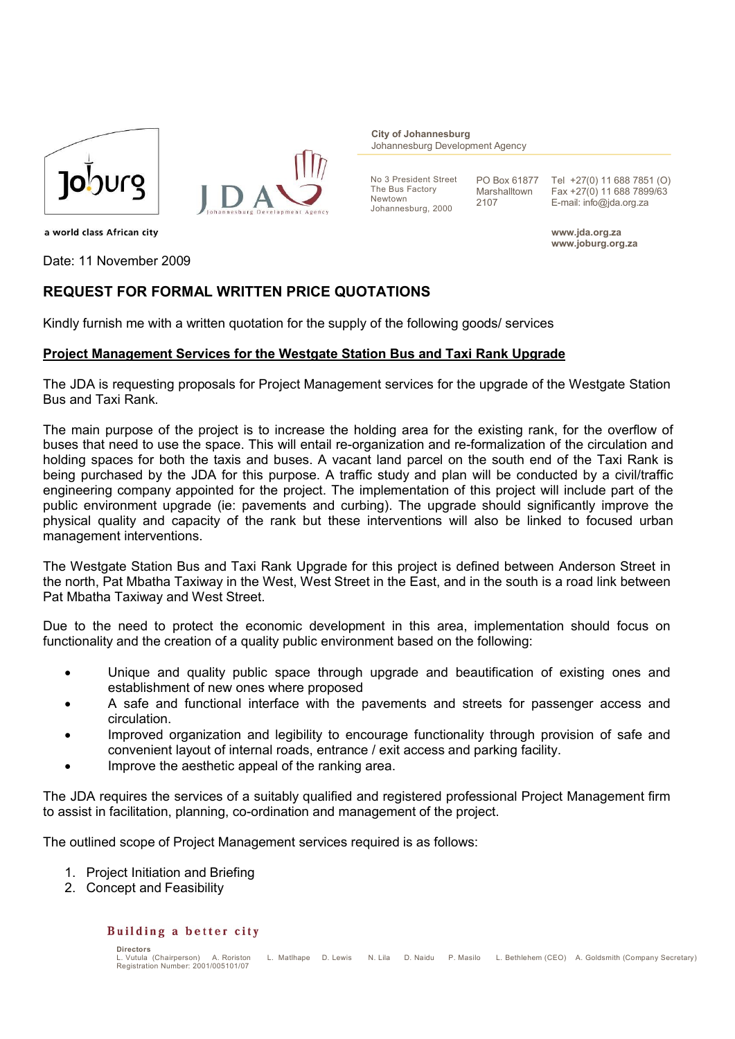



**City of Johannesburg** Johannesburg Development Agency

No 3 President Street The Bus Factory Newtown Johannesburg, 2000

PO Box 61877 Marshalltown 2107

Tel +27(0) 11 688 7851 (O) Fax +27(0) 11 688 7899/63 E-mail: info@jda.org.za

**www.jda.org.za www.joburg.org.za**

a world class African city

Date: 11 November 2009

# **REQUEST FOR FORMAL WRITTEN PRICE QUOTATIONS**

Kindly furnish me with a written quotation for the supply of the following goods/ services

### **Project Management Services for the Westgate Station Bus and Taxi Rank Upgrade**

The JDA is requesting proposals for Project Management services for the upgrade of the Westgate Station Bus and Taxi Rank.

The main purpose of the project is to increase the holding area for the existing rank, for the overflow of buses that need to use the space. This will entail re-organization and re-formalization of the circulation and holding spaces for both the taxis and buses. A vacant land parcel on the south end of the Taxi Rank is being purchased by the JDA for this purpose. A traffic study and plan will be conducted by a civil/traffic engineering company appointed for the project. The implementation of this project will include part of the public environment upgrade (ie: pavements and curbing). The upgrade should significantly improve the physical quality and capacity of the rank but these interventions will also be linked to focused urban management interventions.

The Westgate Station Bus and Taxi Rank Upgrade for this project is defined between Anderson Street in the north, Pat Mbatha Taxiway in the West, West Street in the East, and in the south is a road link between Pat Mbatha Taxiway and West Street.

Due to the need to protect the economic development in this area, implementation should focus on functionality and the creation of a quality public environment based on the following:

- Unique and quality public space through upgrade and beautification of existing ones and establishment of new ones where proposed
- A safe and functional interface with the pavements and streets for passenger access and circulation.
- Improved organization and legibility to encourage functionality through provision of safe and convenient layout of internal roads, entrance / exit access and parking facility.
- Improve the aesthetic appeal of the ranking area.

The JDA requires the services of a suitably qualified and registered professional Project Management firm to assist in facilitation, planning, co-ordination and management of the project.

The outlined scope of Project Management services required is as follows:

- 1. Project Initiation and Briefing
- 2. Concept and Feasibility

#### Building a better city

**Directors**<br>| Vutula (Chairnerson) A. Roriston L. Matlhape D. Lewis N. Lila D. Naidu P. Masilo L. Bethlehem (CEO) A. Goldsmith (Company Secretary) Registration Number: 2001/005101/07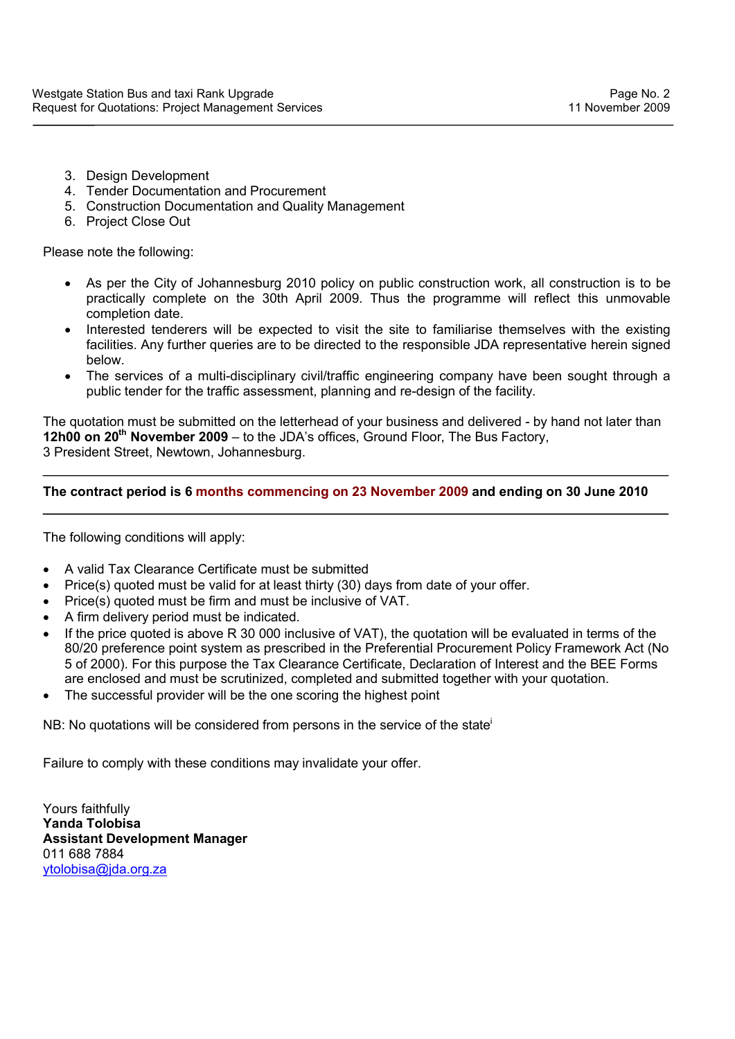- 3. Design Development
- 4. Tender Documentation and Procurement
- 5. Construction Documentation and Quality Management
- 6. Project Close Out

Please note the following:

- As per the City of Johannesburg 2010 policy on public construction work, all construction is to be practically complete on the 30th April 2009. Thus the programme will reflect this unmovable completion date.
- Interested tenderers will be expected to visit the site to familiarise themselves with the existing facilities. Any further queries are to be directed to the responsible JDA representative herein signed below.
- The services of a multi-disciplinary civil/traffic engineering company have been sought through a public tender for the traffic assessment, planning and re-design of the facility.

The quotation must be submitted on the letterhead of your business and delivered - by hand not later than **12h00 on 20th November 2009** – to the JDA's offices, Ground Floor, The Bus Factory, 3 President Street, Newtown, Johannesburg.

## **The contract period is 6 months commencing on 23 November 2009 and ending on 30 June 2010**

The following conditions will apply:

- A valid Tax Clearance Certificate must be submitted
- Price(s) quoted must be valid for at least thirty (30) days from date of your offer.
- Price(s) quoted must be firm and must be inclusive of VAT.
- A firm delivery period must be indicated.
- If the price quoted is above R 30 000 inclusive of VAT), the quotation will be evaluated in terms of the 80/20 preference point system as prescribed in the Preferential Procurement Policy Framework Act (No 5 of 2000). For this purpose the Tax Clearance Certificate, Declaration of Interest and the BEE Forms are enclosed and must be scrutinized, completed and submitted together with your quotation.
- The successful provider will be the one scoring the highest point

NB: No quotations will be considered from persons in the service of the state<sup>1</sup>

Failure to comply with these conditions may invalidate your offer.

Yours faithfully **Yanda Tolobisa Assistant Development Manager** 011 688 7884 ytolobisa@jda.org.za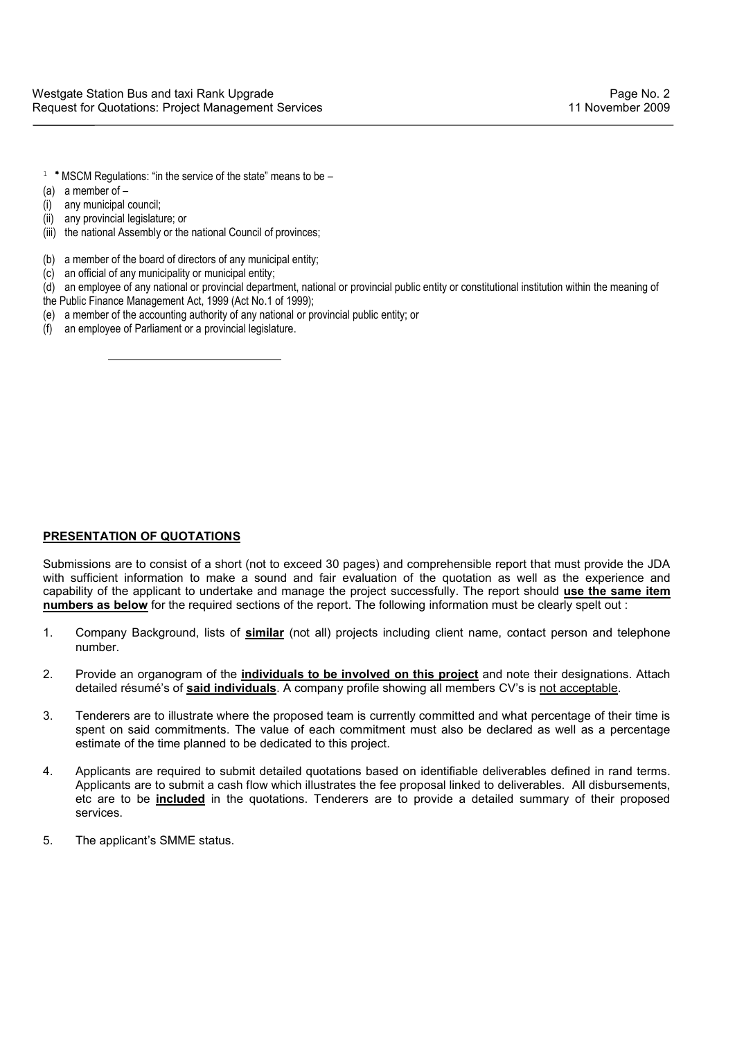- $1$  \* MSCM Regulations: "in the service of the state" means to be –
- (a) a member of –
- (i) any municipal council;
- (ii) any provincial legislature; or

- (iii) the national Assembly or the national Council of provinces:
- (b) a member of the board of directors of any municipal entity;
- (c) an official of any municipality or municipal entity;
- (d) an employee of any national or provincial department, national or provincial public entity or constitutional institution within the meaning of
- the Public Finance Management Act, 1999 (Act No.1 of 1999);
- (e) a member of the accounting authority of any national or provincial public entity; or
- (f) an employee of Parliament or a provincial legislature.

### **PRESENTATION OF QUOTATIONS**

Submissions are to consist of a short (not to exceed 30 pages) and comprehensible report that must provide the JDA with sufficient information to make a sound and fair evaluation of the quotation as well as the experience and capability of the applicant to undertake and manage the project successfully. The report should **use the same item numbers as below** for the required sections of the report. The following information must be clearly spelt out :

- 1. Company Background, lists of **similar** (not all) projects including client name, contact person and telephone number.
- 2. Provide an organogram of the **individuals to be involved on this project** and note their designations. Attach detailed résumé's of **said individuals**. A company profile showing all members CV's is not acceptable.
- 3. Tenderers are to illustrate where the proposed team is currently committed and what percentage of their time is spent on said commitments. The value of each commitment must also be declared as well as a percentage estimate of the time planned to be dedicated to this project.
- 4. Applicants are required to submit detailed quotations based on identifiable deliverables defined in rand terms. Applicants are to submit a cash flow which illustrates the fee proposal linked to deliverables. All disbursements, etc are to be **included** in the quotations. Tenderers are to provide a detailed summary of their proposed services.
- 5. The applicant's SMME status.